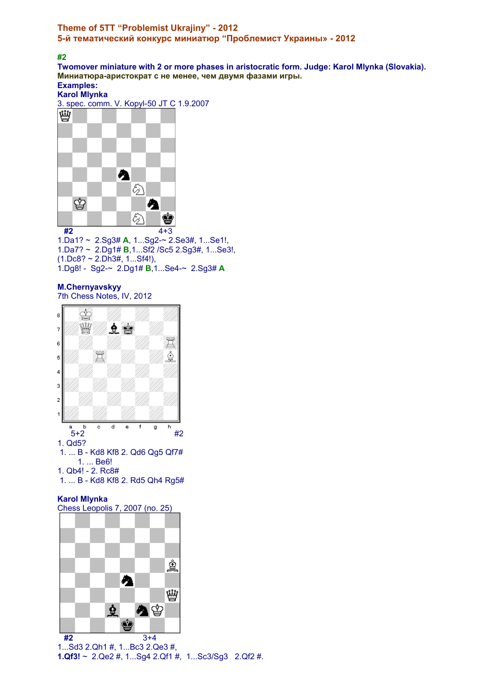## **Theme of 5TT "Problemist Ukrajiny" - 2012 5-й тематический конкурс миниатюр "Проблемист Украины» - 2012**

**#2** 

**Twomover miniature with 2 or more phases in aristocratic form. Judge: Karol Mlynka (Slovakia). Миниатюра-аристократ с не менее, чем двумя фазами игры. Examples:** 

**Karol Mlynka** 

3. spec. comm. V. Kopyl-50 JT C 1.9.2007



1.Da1? ~ 2.Sg3# **A**, 1...Sg2-~ 2.Se3#, 1...Se1!, 1.Da7? ~ 2.Dg1# **B**,1...Sf2 /Sc5 2.Sg3#, 1...Se3!,  $(1.DC8? \sim 2.DR3#, 1...Sf4!)$ , 1.Dg8! - Sg2-~ 2.Dg1# **B**,1...Se4-~ 2.Sg3# **A**

#### **M.Chernyavskyy**  7th Chess Notes, IV, 2012



1. ... B - Kd8 Kf8 2. Rd5 Qh4 Rg5#

## **Karol Mlynka**



1...Sd3 2.Qh1 #, 1...Bc3 2.Qe3 #, **1.Qf3!** ~ 2.Qe2 #, 1...Sg4 2.Qf1 #, 1...Sc3/Sg3 2.Qf2 #.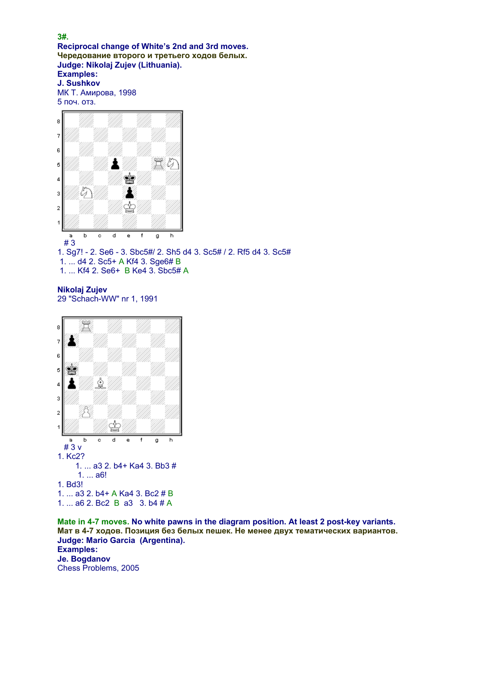**Reciprocal change of White's 2nd and 3rd moves. Чередование второго и третьего ходов белых. Judge: Nikolaj Zujev (Lithuania). Examples: J. Sushkov**  МК Т. Амирова, 1998 5 поч. отз.



**Nikolaj Zujev**  29 "Schach-WW" nr 1, 1991



**Mate in 4-7 moves. No white pawns in the diagram position. At least 2 post-key variants. Мат в 4-7 ходов. Позиция без белых пешек. Не менее двух тематических вариантов. Judge: Mario Garcia (Argentina). Examples: Je. Bogdanov**  Chess Problems, 2005

### **3#.**